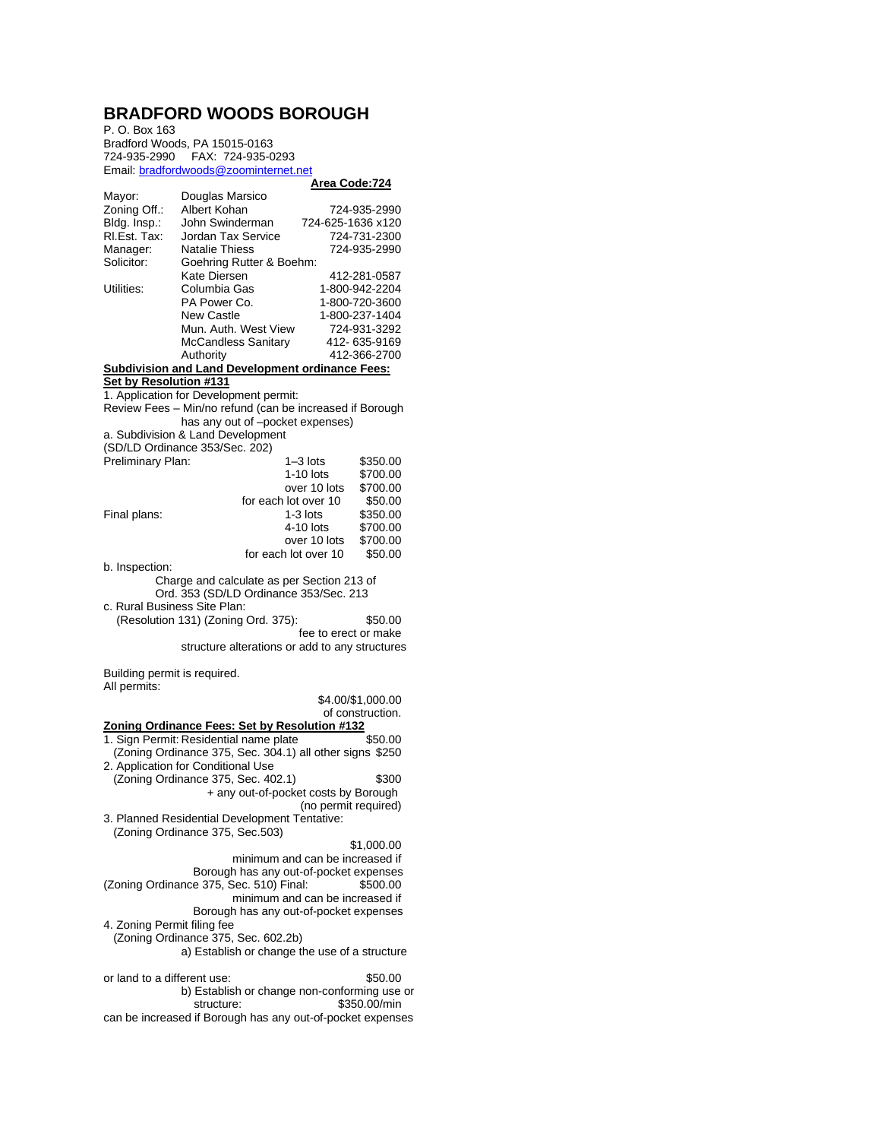## **BRADFORD WOODS BOROUGH**

P. O. Box 163 Bradford Woods, PA 15015-0163 724-935-2990 FAX: 724-935-0293 Email[: bradfordwoods@zoominternet.net](mailto:bradfordwoods@zoominternet.net)

## **Area Code:724**

|                              |                                                            | <u>Alta Cout. 74</u>                         |
|------------------------------|------------------------------------------------------------|----------------------------------------------|
| Mayor:                       | Douglas Marsico                                            |                                              |
| Zoning Off.:                 | Albert Kohan                                               | 724-935-2990                                 |
|                              |                                                            |                                              |
| Bldg. Insp.:                 | John Swinderman                                            | 724-625-1636 x120                            |
| RI.Est. Tax:                 | Jordan Tax Service                                         | 724-731-2300                                 |
| Manager:                     | <b>Natalie Thiess</b>                                      | 724-935-2990                                 |
| Solicitor:                   |                                                            |                                              |
|                              | Goehring Rutter & Boehm:                                   |                                              |
|                              | Kate Diersen                                               | 412-281-0587                                 |
| Utilities:                   | Columbia Gas                                               | 1-800-942-2204                               |
|                              | PA Power Co.                                               | 1-800-720-3600                               |
|                              |                                                            |                                              |
|                              | <b>New Castle</b>                                          | 1-800-237-1404                               |
|                              | Mun. Auth. West View                                       | 724-931-3292                                 |
|                              | <b>McCandless Sanitary</b>                                 | 412-635-9169                                 |
|                              | Authority                                                  | 412-366-2700                                 |
|                              |                                                            |                                              |
|                              | <b>Subdivision and Land Development ordinance Fees:</b>    |                                              |
| Set by Resolution #131       |                                                            |                                              |
|                              | 1. Application for Development permit:                     |                                              |
|                              | Review Fees - Min/no refund (can be increased if Borough   |                                              |
|                              |                                                            |                                              |
|                              | has any out of -pocket expenses)                           |                                              |
|                              | a. Subdivision & Land Development                          |                                              |
|                              | (SD/LD Ordinance 353/Sec. 202)                             |                                              |
|                              |                                                            |                                              |
| Preliminary Plan:            |                                                            | $1 - 3$ lots<br>\$350.00                     |
|                              |                                                            | $1-10$ lots<br>\$700.00                      |
|                              |                                                            | over 10 lots<br>\$700.00                     |
|                              | for each lot over 10                                       | \$50.00                                      |
|                              |                                                            |                                              |
| Final plans:                 |                                                            | \$350.00<br>$1-3$ lots                       |
|                              |                                                            | \$700.00<br>$4-10$ lots                      |
|                              |                                                            | over 10 lots<br>\$700.00                     |
|                              | for each lot over 10                                       | \$50.00                                      |
|                              |                                                            |                                              |
| b. Inspection:               |                                                            |                                              |
|                              | Charge and calculate as per Section 213 of                 |                                              |
|                              | Ord. 353 (SD/LD Ordinance 353/Sec. 213                     |                                              |
| c. Rural Business Site Plan: |                                                            |                                              |
|                              |                                                            |                                              |
|                              |                                                            |                                              |
|                              | (Resolution 131) (Zoning Ord. 375):                        | \$50.00                                      |
|                              |                                                            | fee to erect or make                         |
|                              |                                                            |                                              |
|                              | structure alterations or add to any structures             |                                              |
|                              |                                                            |                                              |
| Building permit is required. |                                                            |                                              |
| All permits:                 |                                                            |                                              |
|                              |                                                            |                                              |
|                              |                                                            | \$4.00/\$1,000.00                            |
|                              |                                                            | of construction.                             |
|                              | Zoning Ordinance Fees: Set by Resolution #132              |                                              |
|                              | 1. Sign Permit: Residential name plate                     | \$50.00                                      |
|                              |                                                            |                                              |
|                              | (Zoning Ordinance 375, Sec. 304.1) all other signs \$250   |                                              |
|                              | 2. Application for Conditional Use                         |                                              |
|                              | (Zoning Ordinance 375, Sec. 402.1)                         | \$300                                        |
|                              |                                                            | + any out-of-pocket costs by Borough         |
|                              |                                                            |                                              |
|                              |                                                            | (no permit required)                         |
|                              | 3. Planned Residential Development Tentative:              |                                              |
|                              | (Zoning Ordinance 375, Sec.503)                            |                                              |
|                              |                                                            |                                              |
|                              |                                                            | \$1,000.00                                   |
|                              |                                                            | minimum and can be increased if              |
|                              |                                                            | Borough has any out-of-pocket expenses       |
|                              | (Zoning Ordinance 375, Sec. 510) Final:                    | \$500.00                                     |
|                              |                                                            | minimum and can be increased if              |
|                              |                                                            |                                              |
|                              |                                                            | Borough has any out-of-pocket expenses       |
| 4. Zoning Permit filing fee  |                                                            |                                              |
|                              | (Zoning Ordinance 375, Sec. 602.2b)                        |                                              |
|                              | a) Establish or change the use of a structure              |                                              |
|                              |                                                            |                                              |
|                              |                                                            |                                              |
| or land to a different use:  |                                                            | \$50.00                                      |
|                              |                                                            | b) Establish or change non-conforming use or |
|                              | structure:                                                 | \$350.00/min                                 |
|                              |                                                            |                                              |
|                              | can be increased if Borough has any out-of-pocket expenses |                                              |